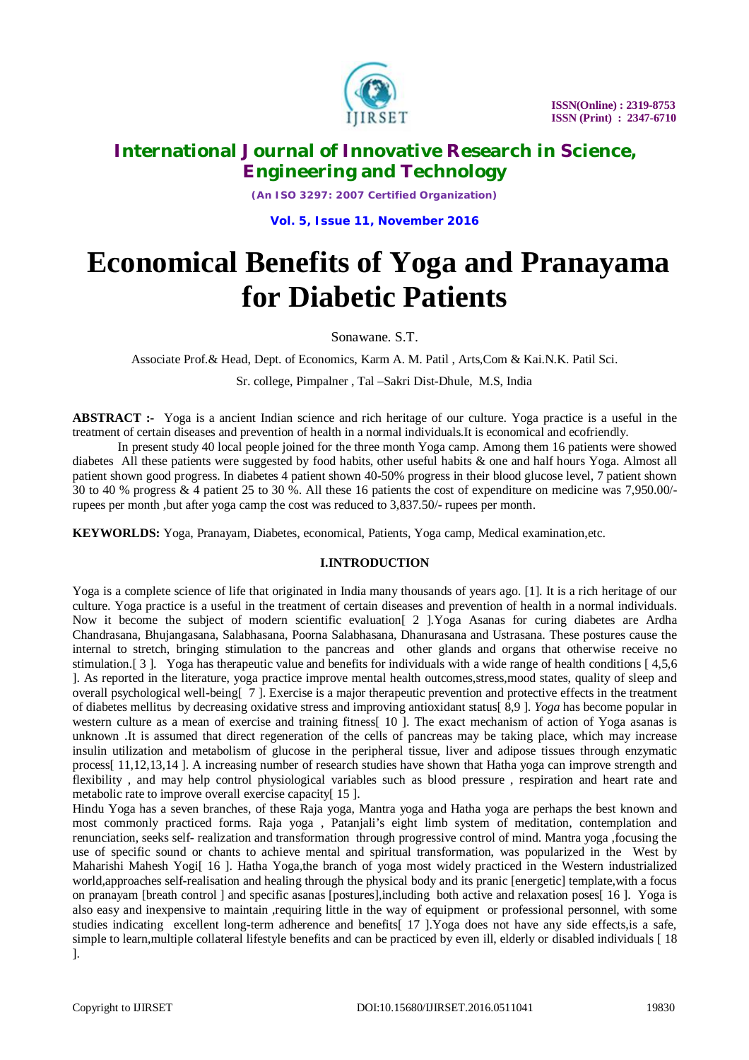

*(An ISO 3297: 2007 Certified Organization)*

**Vol. 5, Issue 11, November 2016**

# **Economical Benefits of Yoga and Pranayama for Diabetic Patients**

Sonawane. S.T.

Associate Prof.& Head, Dept. of Economics, Karm A. M. Patil , Arts,Com & Kai.N.K. Patil Sci.

Sr. college, Pimpalner , Tal –Sakri Dist-Dhule, M.S, India

**ABSTRACT :-** Yoga is a ancient Indian science and rich heritage of our culture. Yoga practice is a useful in the treatment of certain diseases and prevention of health in a normal individuals.It is economical and ecofriendly.

In present study 40 local people joined for the three month Yoga camp. Among them 16 patients were showed diabetes All these patients were suggested by food habits, other useful habits & one and half hours Yoga. Almost all patient shown good progress. In diabetes 4 patient shown 40-50% progress in their blood glucose level, 7 patient shown 30 to 40 % progress & 4 patient 25 to 30 %. All these 16 patients the cost of expenditure on medicine was 7,950.00/ rupees per month ,but after yoga camp the cost was reduced to 3,837.50/- rupees per month.

**KEYWORLDS:** Yoga, Pranayam, Diabetes, economical, Patients, Yoga camp, Medical examination,etc.

#### **I.INTRODUCTION**

Yoga is a complete science of life that originated in India many thousands of years ago. [1]. It is a rich heritage of our culture. Yoga practice is a useful in the treatment of certain diseases and prevention of health in a normal individuals. Now it become the subject of modern scientific evaluation[ 2 ].Yoga Asanas for curing diabetes are Ardha Chandrasana, Bhujangasana, Salabhasana, Poorna Salabhasana, Dhanurasana and Ustrasana. These postures cause the internal to stretch, bringing stimulation to the pancreas and other glands and organs that otherwise receive no stimulation.[ 3 ]. Yoga has therapeutic value and benefits for individuals with a wide range of health conditions [ 4,5,6 ]. As reported in the literature, yoga practice improve mental health outcomes,stress,mood states, quality of sleep and overall psychological well-being[ 7 ]. Exercise is a major therapeutic prevention and protective effects in the treatment of diabetes mellitus by decreasing oxidative stress and improving antioxidant status[ 8,9 ]. *Yoga* has become popular in western culture as a mean of exercise and training fitness[ 10 ]. The exact mechanism of action of Yoga asanas is unknown .It is assumed that direct regeneration of the cells of pancreas may be taking place, which may increase insulin utilization and metabolism of glucose in the peripheral tissue, liver and adipose tissues through enzymatic process[ 11,12,13,14 ]. A increasing number of research studies have shown that Hatha yoga can improve strength and flexibility , and may help control physiological variables such as blood pressure , respiration and heart rate and metabolic rate to improve overall exercise capacity[ 15 ].

Hindu Yoga has a seven branches, of these Raja yoga, Mantra yoga and Hatha yoga are perhaps the best known and most commonly practiced forms. Raja yoga , Patanjali's eight limb system of meditation, contemplation and renunciation, seeks self- realization and transformation through progressive control of mind. Mantra yoga ,focusing the use of specific sound or chants to achieve mental and spiritual transformation, was popularized in the West by Maharishi Mahesh Yogi[ 16 ]. Hatha Yoga,the branch of yoga most widely practiced in the Western industrialized world,approaches self-realisation and healing through the physical body and its pranic [energetic] template,with a focus on pranayam [breath control ] and specific asanas [postures],including both active and relaxation poses[ 16 ]. Yoga is also easy and inexpensive to maintain ,requiring little in the way of equipment or professional personnel, with some studies indicating excellent long-term adherence and benefits[ 17 ]. Yoga does not have any side effects, is a safe, simple to learn, multiple collateral lifestyle benefits and can be practiced by even ill, elderly or disabled individuals [18] ].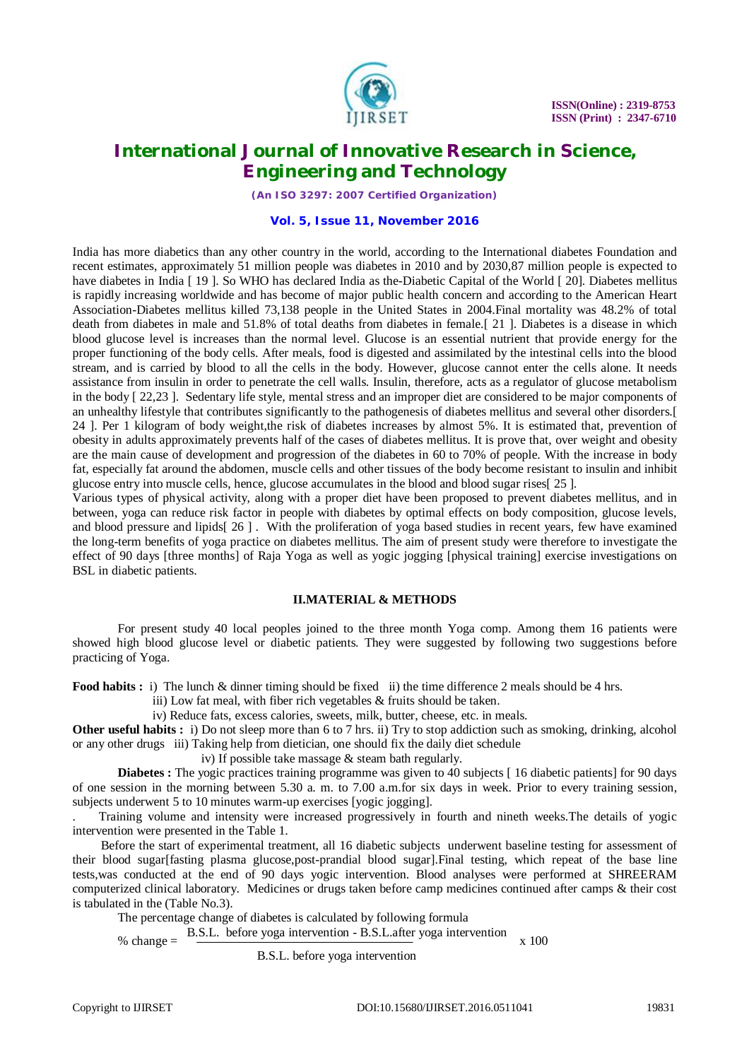

*(An ISO 3297: 2007 Certified Organization)*

#### **Vol. 5, Issue 11, November 2016**

India has more diabetics than any other country in the world, according to the International diabetes Foundation and recent estimates, approximately 51 million people was diabetes in 2010 and by 2030,87 million people is expected to have diabetes in India [19]. So WHO has declared India as the-Diabetic Capital of the World [20]. Diabetes mellitus is rapidly increasing worldwide and has become of major public health concern and according to the American Heart Association-Diabetes mellitus killed 73,138 people in the United States in 2004.Final mortality was 48.2% of total death from diabetes in male and 51.8% of total deaths from diabetes in female.[ 21 ]. Diabetes is a disease in which blood glucose level is increases than the normal level. Glucose is an essential nutrient that provide energy for the proper functioning of the body cells. After meals, food is digested and assimilated by the intestinal cells into the blood stream, and is carried by blood to all the cells in the body. However, glucose cannot enter the cells alone. It needs assistance from insulin in order to penetrate the cell walls. Insulin, therefore, acts as a regulator of glucose metabolism in the body [ 22,23 ]. Sedentary life style, mental stress and an improper diet are considered to be major components of an unhealthy lifestyle that contributes significantly to the pathogenesis of diabetes mellitus and several other disorders.[ 24 ]. Per 1 kilogram of body weight,the risk of diabetes increases by almost 5%. It is estimated that, prevention of obesity in adults approximately prevents half of the cases of diabetes mellitus. It is prove that, over weight and obesity are the main cause of development and progression of the diabetes in 60 to 70% of people. With the increase in body fat, especially fat around the abdomen, muscle cells and other tissues of the body become resistant to insulin and inhibit glucose entry into muscle cells, hence, glucose accumulates in the blood and blood sugar rises[ 25 ].

Various types of physical activity, along with a proper diet have been proposed to prevent diabetes mellitus, and in between, yoga can reduce risk factor in people with diabetes by optimal effects on body composition, glucose levels, and blood pressure and lipids[ 26 ] . With the proliferation of yoga based studies in recent years, few have examined the long-term benefits of yoga practice on diabetes mellitus. The aim of present study were therefore to investigate the effect of 90 days [three months] of Raja Yoga as well as yogic jogging [physical training] exercise investigations on BSL in diabetic patients.

#### **II.MATERIAL & METHODS**

For present study 40 local peoples joined to the three month Yoga comp. Among them 16 patients were showed high blood glucose level or diabetic patients. They were suggested by following two suggestions before practicing of Yoga.

**Food habits :** i) The lunch & dinner timing should be fixed ii) the time difference 2 meals should be 4 hrs.

iii) Low fat meal, with fiber rich vegetables & fruits should be taken.

iv) Reduce fats, excess calories, sweets, milk, butter, cheese, etc. in meals.

**Other useful habits :** i) Do not sleep more than 6 to 7 hrs. ii) Try to stop addiction such as smoking, drinking, alcohol or any other drugs iii) Taking help from dietician, one should fix the daily diet schedule

iv) If possible take massage & steam bath regularly.

**Diabetes :** The yogic practices training programme was given to 40 subjects [16 diabetic patients] for 90 days of one session in the morning between 5.30 a. m. to 7.00 a.m.for six days in week. Prior to every training session, subjects underwent 5 to 10 minutes warm-up exercises [yogic jogging].

. Training volume and intensity were increased progressively in fourth and nineth weeks.The details of yogic intervention were presented in the Table 1.

 Before the start of experimental treatment, all 16 diabetic subjects underwent baseline testing for assessment of their blood sugar[fasting plasma glucose,post-prandial blood sugar].Final testing, which repeat of the base line tests,was conducted at the end of 90 days yogic intervention. Blood analyses were performed at SHREERAM computerized clinical laboratory. Medicines or drugs taken before camp medicines continued after camps & their cost is tabulated in the (Table No.3).

The percentage change of diabetes is calculated by following formula

 $%$  change  $=$ B.S.L. before yoga intervention - B.S.L.after yoga intervention x 100

B.S.L. before yoga intervention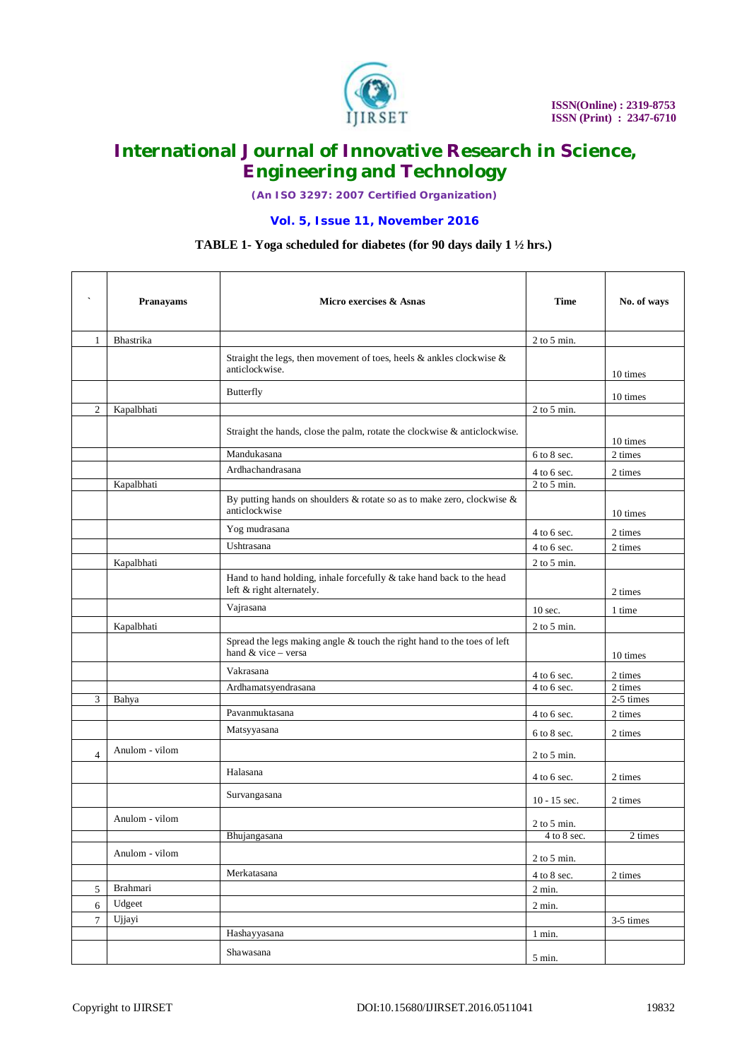

*(An ISO 3297: 2007 Certified Organization)*

#### **Vol. 5, Issue 11, November 2016**

### **TABLE 1- Yoga scheduled for diabetes (for 90 days daily 1 ½ hrs.) TABLE 1- Yoga scheduled for diabetes (for 90 days daily 1 ½ hrs.)**

| $\overline{\phantom{a}}$ | Pranayams      | Micro exercises & Asnas                                                                           | Time            | No. of ways       |
|--------------------------|----------------|---------------------------------------------------------------------------------------------------|-----------------|-------------------|
| $\mathbf{1}$             | Bhastrika      |                                                                                                   | $2$ to $5$ min. |                   |
|                          |                | Straight the legs, then movement of toes, heels $\&$ ankles clockwise $\&$<br>anticlockwise.      |                 | 10 times          |
|                          |                | Butterfly                                                                                         |                 | 10 times          |
| $\overline{c}$           | Kapalbhati     |                                                                                                   | $2$ to $5$ min. |                   |
|                          |                | Straight the hands, close the palm, rotate the clockwise & anticlockwise.                         |                 | 10 times          |
|                          |                | Mandukasana                                                                                       | 6 to 8 sec.     | 2 times           |
|                          |                | Ardhachandrasana                                                                                  | $4$ to 6 sec.   | 2 times           |
|                          | Kapalbhati     |                                                                                                   | $2$ to $5$ min. |                   |
|                          |                | By putting hands on shoulders $&$ rotate so as to make zero, clockwise $&$<br>anticlockwise       |                 | 10 times          |
|                          |                | Yog mudrasana                                                                                     | $4$ to 6 sec.   | 2 times           |
|                          |                | Ushtrasana                                                                                        | 4 to 6 sec.     | 2 times           |
|                          | Kapalbhati     |                                                                                                   | $2$ to $5$ min. |                   |
|                          |                | Hand to hand holding, inhale forcefully & take hand back to the head<br>left & right alternately. |                 | 2 times           |
|                          |                | Vajrasana                                                                                         | 10 sec.         | 1 time            |
|                          | Kapalbhati     |                                                                                                   | $2$ to 5 min.   |                   |
|                          |                | Spread the legs making angle & touch the right hand to the toes of left<br>hand & vice - versa    |                 | 10 times          |
|                          |                | Vakrasana                                                                                         | 4 to 6 sec.     | 2 times           |
|                          |                | Ardhamatsyendrasana                                                                               | 4 to 6 sec.     | 2 times           |
| 3                        | Bahya          |                                                                                                   |                 | 2-5 times         |
|                          |                | Pavanmuktasana                                                                                    | $4$ to 6 sec.   | 2 times           |
|                          |                | Matsyyasana                                                                                       | 6 to 8 sec.     | 2 times           |
| $\overline{4}$           | Anulom - vilom |                                                                                                   | $2$ to 5 min.   |                   |
|                          |                | Halasana                                                                                          | 4 to 6 sec.     | 2 times           |
|                          |                | Survangasana                                                                                      | $10 - 15$ sec.  | 2 times           |
|                          | Anulom - vilom |                                                                                                   | $2$ to $5$ min. |                   |
|                          |                | Bhujangasana                                                                                      | $4$ to $8$ sec. | $2 \;{\rm times}$ |
|                          | Anulom - vilom |                                                                                                   | $2$ to 5 min.   |                   |
|                          |                | Merkatasana                                                                                       | 4 to 8 sec.     | 2 times           |
| 5                        | Brahmari       |                                                                                                   | $2$ min.        |                   |
| 6                        | Udgeet         |                                                                                                   | $2$ min.        |                   |
| $\overline{7}$           | Ujjayi         |                                                                                                   |                 | 3-5 times         |
|                          |                | Hashayyasana                                                                                      | $1$ min.        |                   |
|                          |                | Shawasana                                                                                         | $5$ min. $\,$   |                   |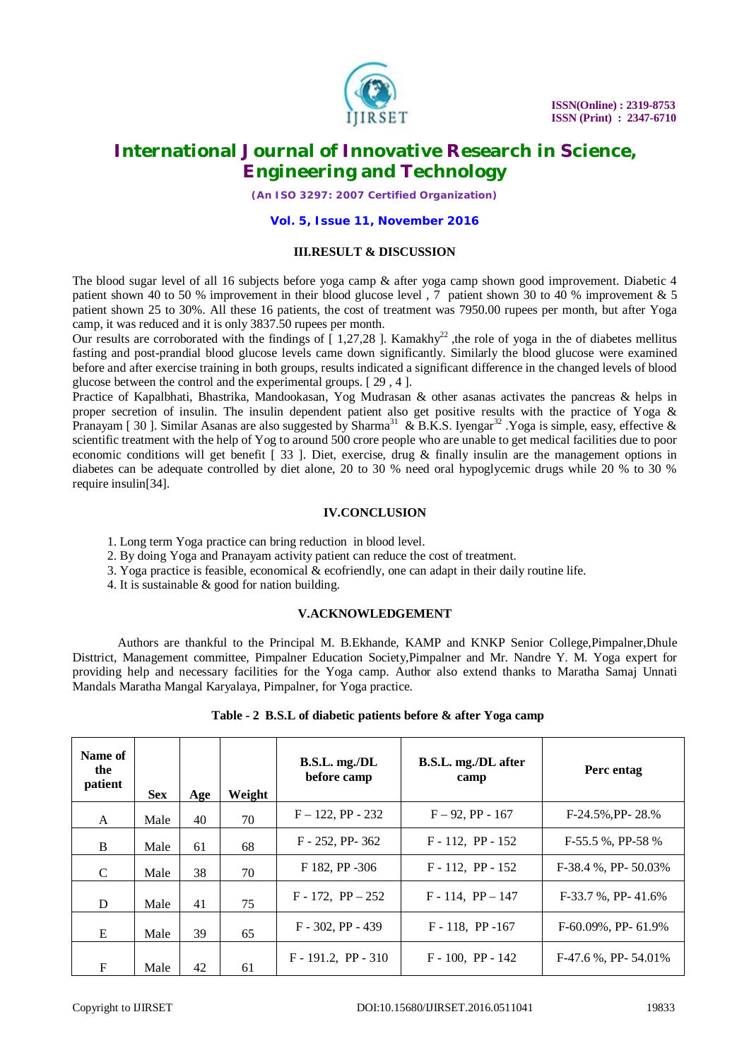

*(An ISO 3297: 2007 Certified Organization)*

#### **Vol. 5, Issue 11, November 2016**

#### **III.RESULT & DISCUSSION**

The blood sugar level of all 16 subjects before yoga camp & after yoga camp shown good improvement. Diabetic 4 patient shown 40 to 50 % improvement in their blood glucose level , 7 patient shown 30 to 40 % improvement & 5 patient shown 25 to 30%. All these 16 patients, the cost of treatment was 7950.00 rupees per month, but after Yoga camp, it was reduced and it is only 3837.50 rupees per month.

Our results are corroborated with the findings of  $\int$  1,27,28 ]. Kamakhy<sup>22</sup>, the role of yoga in the of diabetes mellitus fasting and post-prandial blood glucose levels came down significantly. Similarly the blood glucose were examined before and after exercise training in both groups, results indicated a significant difference in the changed levels of blood glucose between the control and the experimental groups. [ 29 , 4 ].

Practice of Kapalbhati, Bhastrika, Mandookasan, Yog Mudrasan & other asanas activates the pancreas & helps in proper secretion of insulin. The insulin dependent patient also get positive results with the practice of Yoga & Pranayam [ 30 ]. Similar Asanas are also suggested by Sharma<sup>31</sup> & B.K.S. Iyengar<sup>32</sup> . Yoga is simple, easy, effective & scientific treatment with the help of Yog to around 500 crore people who are unable to get medical facilities due to poor economic conditions will get benefit [ 33 ]. Diet, exercise, drug & finally insulin are the management options in diabetes can be adequate controlled by diet alone, 20 to 30 % need oral hypoglycemic drugs while 20 % to 30 % require insulin[34].

#### **IV.CONCLUSION**

- 1. Long term Yoga practice can bring reduction in blood level.
- 2. By doing Yoga and Pranayam activity patient can reduce the cost of treatment.
- 3. Yoga practice is feasible, economical  $&$  ecofriendly, one can adapt in their daily routine life.
- 4. It is sustainable & good for nation building.

#### **V.ACKNOWLEDGEMENT**

Authors are thankful to the Principal M. B.Ekhande, KAMP and KNKP Senior College,Pimpalner,Dhule Disttrict, Management committee, Pimpalner Education Society,Pimpalner and Mr. Nandre Y. M. Yoga expert for providing help and necessary facilities for the Yoga camp. Author also extend thanks to Maratha Samaj Unnati Mandals Maratha Mangal Karyalaya, Pimpalner, for Yoga practice.

| Name of<br>the<br>patient | <b>Sex</b> | Age | Weight | B.S.L. mg.D.L.<br>before camp | B.S.L. mg./DL after<br>camp | Perc entag             |
|---------------------------|------------|-----|--------|-------------------------------|-----------------------------|------------------------|
| A                         | Male       | 40  | 70     | $F - 122$ , PP - 232          | $F - 92$ , PP - 167         | $F-24.5\%, PP-28.\%$   |
| B                         | Male       | 61  | 68     | $F - 252$ , PP-362            | $F - 112$ , PP - 152        | $F-55.5$ %, PP-58 %    |
| C                         | Male       | 38  | 70     | F 182, PP -306                | $F - 112$ , PP - 152        | $F-38.4$ %, PP- 50.03% |
| D                         | Male       | 41  | 75     | $F - 172$ , $PP - 252$        | $F - 114$ , $PP - 147$      | $F-33.7$ %, PP-41.6%   |
| E                         | Male       | 39  | 65     | $F - 302$ , PP - 439          | $F - 118$ , PP-167          | $F-60.09\%$ , PP-61.9% |
| F                         | Male       | 42  | 61     | $F - 191.2$ , PP - 310        | $F - 100$ , PP - 142        | F-47.6 %, PP-54.01%    |

|  | Table - 2 B.S.L of diabetic patients before & after Yoga camp |  |  |  |  |  |  |  |
|--|---------------------------------------------------------------|--|--|--|--|--|--|--|
|--|---------------------------------------------------------------|--|--|--|--|--|--|--|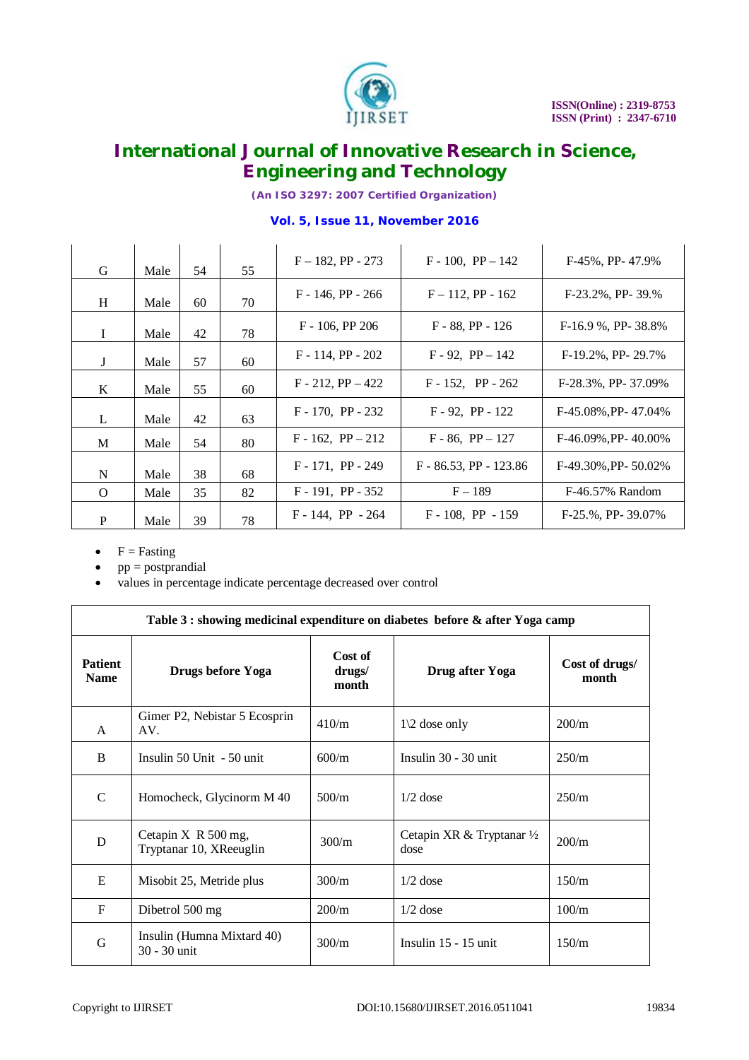

*(An ISO 3297: 2007 Certified Organization)*

#### **Vol. 5, Issue 11, November 2016**

| G        | Male | 54 | 55 | $F - 182$ , PP - 273   | $F - 100$ , $PP - 142$    | $F-45\%$ , PP- $47.9\%$     |
|----------|------|----|----|------------------------|---------------------------|-----------------------------|
| H        | Male | 60 | 70 | $F - 146$ , PP - 266   | $F - 112$ , PP - 162      | $F-23.2\%$ , PP- 39.\%      |
| L        | Male | 42 | 78 | $F - 106$ , PP 206     | $F - 88$ , PP - 126       | $F-16.9$ %, PP- 38.8%       |
| J        | Male | 57 | 60 | $F - 114$ , PP - 202   | $F - 92$ , $PP - 142$     | $F-19.2\%$ , PP- 29.7%      |
| K        | Male | 55 | 60 | $F - 212$ , $PP - 422$ | $F - 152$ , PP - 262      | F-28.3%, PP-37.09%          |
| L        | Male | 42 | 63 | $F - 170$ , PP - 232   | $F - 92$ , PP - 122       | F-45.08%, PP-47.04%         |
| M        | Male | 54 | 80 | $F - 162$ , $PP - 212$ | $F - 86$ , $PP - 127$     | $F-46.09\%$ , PP- 40.00%    |
| N        | Male | 38 | 68 | $F - 171$ , PP - 249   | $F - 86.53$ , PP - 123.86 | $F-49.30\%$ , PP- $50.02\%$ |
| $\Omega$ | Male | 35 | 82 | $F - 191$ , PP - 352   | $F - 189$                 | F-46.57% Random             |
| P        | Male | 39 | 78 | $F - 144$ , PP $- 264$ | $F - 108$ , PP $- 159$    | $F-25.$ %, PP- $39.07\%$    |

- $\bullet$  F = Fasting
- pp = postprandial
- values in percentage indicate percentage decreased over control

| Table 3 : showing medicinal expenditure on diabetes before & after Yoga camp |                                                    |                            |                                              |                         |  |  |  |  |  |
|------------------------------------------------------------------------------|----------------------------------------------------|----------------------------|----------------------------------------------|-------------------------|--|--|--|--|--|
| <b>Patient</b><br><b>Name</b>                                                | Drugs before Yoga                                  | Cost of<br>drugs/<br>month | Drug after Yoga                              | Cost of drugs/<br>month |  |  |  |  |  |
| A                                                                            | Gimer P2, Nebistar 5 Ecosprin<br>AV.               | 410/m                      | $1\backslash 2$ dose only                    | 200/m                   |  |  |  |  |  |
| B                                                                            | Insulin $50$ Unit $-50$ unit                       | 600/m                      | Insulin $30 - 30$ unit                       | 250/m                   |  |  |  |  |  |
| $\mathcal{C}$                                                                | Homocheck, Glycinorm M 40                          | 500/m                      | $1/2$ dose                                   | 250/m                   |  |  |  |  |  |
| D                                                                            | Cetapin $X \ R 500$ mg,<br>Tryptanar 10, XReeuglin | 300/m                      | Cetapin XR & Tryptanar $\frac{1}{2}$<br>dose | 200/m                   |  |  |  |  |  |
| E                                                                            | Misobit 25, Metride plus                           | 300/m                      | $1/2$ dose                                   | 150/m                   |  |  |  |  |  |
| $F_{\rm}$                                                                    | Dibetrol 500 mg                                    | 200/m                      | $1/2$ dose                                   | 100/m                   |  |  |  |  |  |
| G                                                                            | Insulin (Humna Mixtard 40)<br>30 - 30 unit         | 300/m                      | Insulin $15 - 15$ unit                       | 150/m                   |  |  |  |  |  |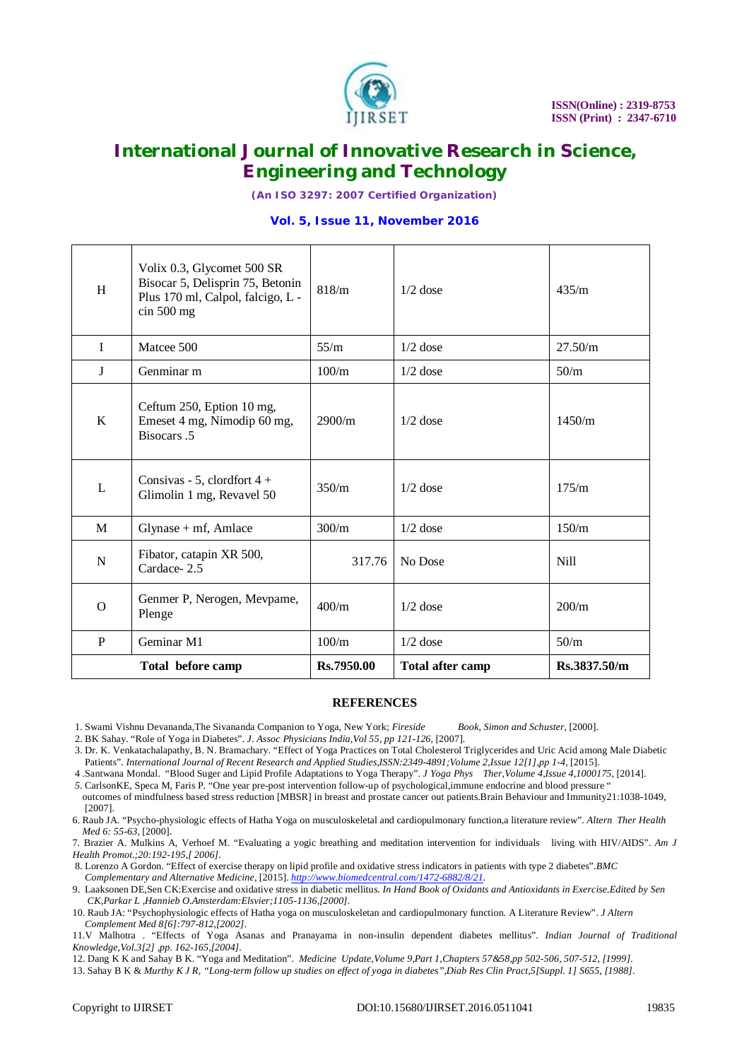

*(An ISO 3297: 2007 Certified Organization)*

#### **Vol. 5, Issue 11, November 2016**

| H            | Volix 0.3, Glycomet 500 SR<br>Bisocar 5, Delisprin 75, Betonin<br>Plus 170 ml, Calpol, falcigo, L -<br>$\sin 500$ mg | 818/m      | $1/2$ dose              | 435/m        |
|--------------|----------------------------------------------------------------------------------------------------------------------|------------|-------------------------|--------------|
| $\mathbf{I}$ | Matcee 500                                                                                                           | 55/m       | $1/2$ dose              | 27.50/m      |
| J            | Genminar m                                                                                                           | 100/m      | $1/2$ dose              | 50/m         |
| K            | Ceftum 250, Eption 10 mg,<br>Emeset 4 mg, Nimodip 60 mg,<br>Bisocars.5                                               | 2900/m     | $1/2$ dose              | 1450/m       |
| L            | Consivas - 5, clordfort $4 +$<br>Glimolin 1 mg, Revavel 50                                                           | 350/m      | $1/2$ dose              | 175/m        |
| M            | $Glynase + mf$ , Amlace                                                                                              | 300/m      | $1/2$ dose              | 150/m        |
| $\mathbf N$  | Fibator, catapin XR 500,<br>Cardace-2.5                                                                              | 317.76     | No Dose                 | <b>Nill</b>  |
| $\Omega$     | Genmer P, Nerogen, Mevpame,<br>Plenge                                                                                | 400/m      | $1/2$ dose              | 200/m        |
| P            | Geminar M1                                                                                                           | 100/m      | $1/2$ dose              | 50/m         |
|              | Total before camp                                                                                                    | Rs.7950.00 | <b>Total after camp</b> | Rs.3837.50/m |

#### **REFERENCES**

- 1. Swami Vishnu Devananda,The Sivananda Companion to Yoga, New York; *Fireside Book, Simon and Schuster,* [2000].
- 2. BK Sahay. "Role of Yoga in Diabetes". *J. Assoc Physicians India,Vol 55, pp 121-126,* [2007]*.*
- 3. Dr. K. Venkatachalapathy, B. N. Bramachary. "Effect of Yoga Practices on Total Cholesterol Triglycerides and Uric Acid among Male Diabetic Patients". *International Journal of Recent Research and Applied Studies,ISSN:2349-4891;Volume 2,Issue 12[1],pp 1-4,* [2015].
- 4 .Santwana Mondal. "Blood Suger and Lipid Profile Adaptations to Yoga Therapy". *J Yoga Phys Ther,Volume 4,Issue 4,1000175,* [2014].
- *5.* CarlsonKE, Speca M, Faris P. "One year pre-post intervention follow-up of psychological,immune endocrine and blood pressure " outcomes of mindfulness based stress reduction [MBSR] in breast and prostate cancer out patients.Brain Behaviour and Immunity21:1038-1049, [2007].
- 6. Raub JA. "Psycho-physiologic effects of Hatha Yoga on musculoskeletal and cardiopulmonary function,a literature review". *Altern Ther Health Med 6: 55-63,* [2000].
- 7*.* Brazier A. Mulkins A, Verhoef M. "Evaluating a yogic breathing and meditation intervention for individuals living with HIV/AIDS". *Am J Health Promot.;20:192-195,[ 2006].*
- 8. Lorenzo A Gordon. "Effect of exercise therapy on lipid profile and oxidative stress indicators in patients with type 2 diabetes".*BMC Complementary and Alternative Medicine,* [2015]. *<http://www.biomedcentral.com/1472-6882/8/21.>*
- 9. Laaksonen DE,Sen CK:Exercise and oxidative stress in diabetic mellitus. *In Hand Book of Oxidants and Antioxidants in Exercise.Edited by Sen CK,Parkar L ,Hannieb O.Amsterdam:Elsvier;1105-1136,[2000].*
- 10. Raub JA: "Psychophysiologic effects of Hatha yoga on musculoskeletan and cardiopulmonary function. A Literature Review". *J Altern Complement Med 8[6]:797-812,[2002].*
- 11*.*V Malhotra . "Effects of Yoga Asanas and Pranayama in non-insulin dependent diabetes mellitus". *Indian Journal of Traditional Knowledge,Vol.3[2] ,pp. 162-165,[2004].*
- 12. Dang K K and Sahay B K. "Yoga and Meditation". *Medicine Update,Volume 9,Part 1,Chapters 57&58,pp 502-506, 507-512, [1999].*
- 13. Sahay B K & *Murthy K J R, "Long-term follow up studies on effect of yoga in diabetes",Diab Res Clin Pract,5[Suppl. 1] S655, [1988].*